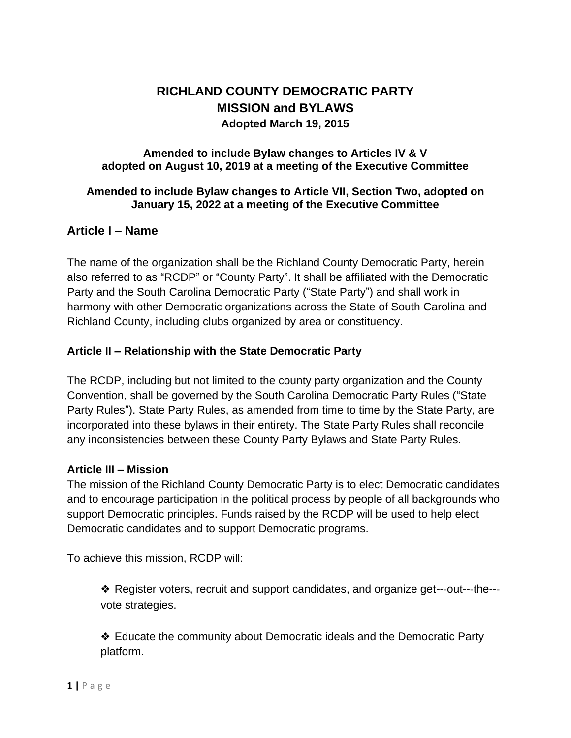# **RICHLAND COUNTY DEMOCRATIC PARTY MISSION and BYLAWS Adopted March 19, 2015**

#### **Amended to include Bylaw changes to Articles IV & V adopted on August 10, 2019 at a meeting of the Executive Committee**

### **Amended to include Bylaw changes to Article VII, Section Two, adopted on January 15, 2022 at a meeting of the Executive Committee**

# **Article I – Name**

The name of the organization shall be the Richland County Democratic Party, herein also referred to as "RCDP" or "County Party". It shall be affiliated with the Democratic Party and the South Carolina Democratic Party ("State Party") and shall work in harmony with other Democratic organizations across the State of South Carolina and Richland County, including clubs organized by area or constituency.

### **Article II – Relationship with the State Democratic Party**

The RCDP, including but not limited to the county party organization and the County Convention, shall be governed by the South Carolina Democratic Party Rules ("State Party Rules"). State Party Rules, as amended from time to time by the State Party, are incorporated into these bylaws in their entirety. The State Party Rules shall reconcile any inconsistencies between these County Party Bylaws and State Party Rules.

#### **Article III – Mission**

The mission of the Richland County Democratic Party is to elect Democratic candidates and to encourage participation in the political process by people of all backgrounds who support Democratic principles. Funds raised by the RCDP will be used to help elect Democratic candidates and to support Democratic programs.

To achieve this mission, RCDP will:

❖ Register voters, recruit and support candidates, and organize get---out---the-- vote strategies.

❖ Educate the community about Democratic ideals and the Democratic Party platform.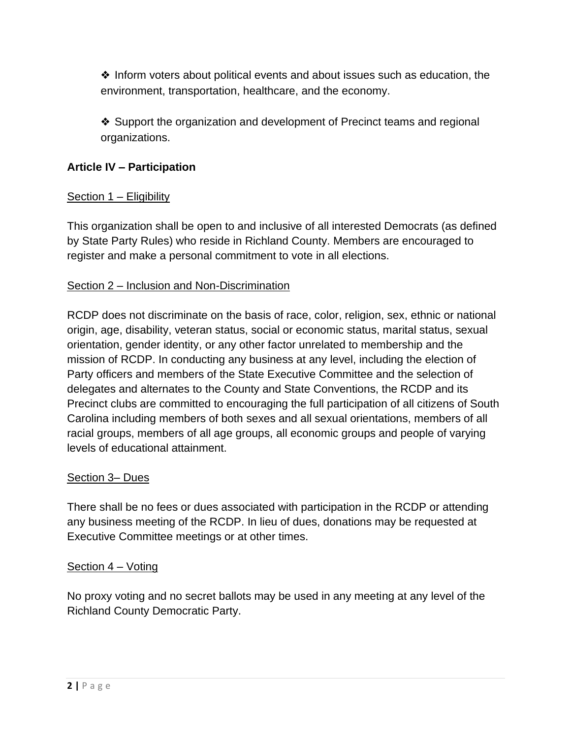❖ Inform voters about political events and about issues such as education, the environment, transportation, healthcare, and the economy.

❖ Support the organization and development of Precinct teams and regional organizations.

# **Article IV – Participation**

### Section 1 – Eligibility

This organization shall be open to and inclusive of all interested Democrats (as defined by State Party Rules) who reside in Richland County. Members are encouraged to register and make a personal commitment to vote in all elections.

### Section 2 – Inclusion and Non-Discrimination

RCDP does not discriminate on the basis of race, color, religion, sex, ethnic or national origin, age, disability, veteran status, social or economic status, marital status, sexual orientation, gender identity, or any other factor unrelated to membership and the mission of RCDP. In conducting any business at any level, including the election of Party officers and members of the State Executive Committee and the selection of delegates and alternates to the County and State Conventions, the RCDP and its Precinct clubs are committed to encouraging the full participation of all citizens of South Carolina including members of both sexes and all sexual orientations, members of all racial groups, members of all age groups, all economic groups and people of varying levels of educational attainment.

### Section 3– Dues

There shall be no fees or dues associated with participation in the RCDP or attending any business meeting of the RCDP. In lieu of dues, donations may be requested at Executive Committee meetings or at other times.

### Section 4 – Voting

No proxy voting and no secret ballots may be used in any meeting at any level of the Richland County Democratic Party.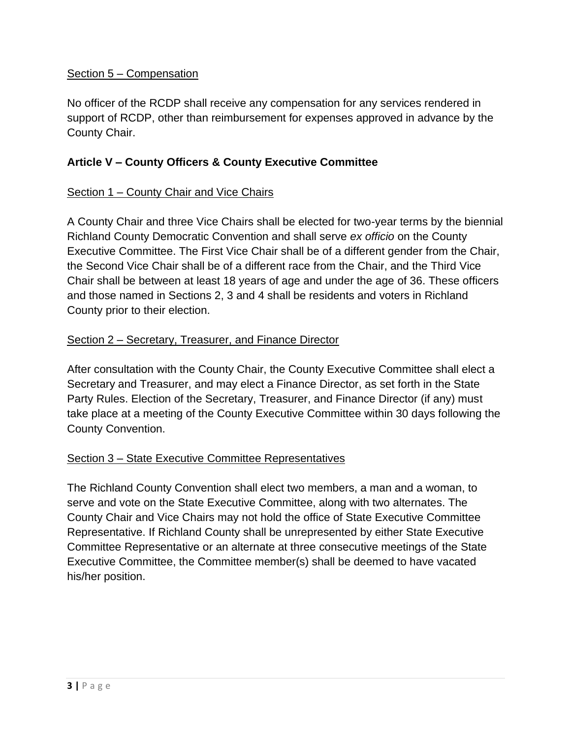### Section 5 – Compensation

No officer of the RCDP shall receive any compensation for any services rendered in support of RCDP, other than reimbursement for expenses approved in advance by the County Chair.

### **Article V – County Officers & County Executive Committee**

### Section 1 – County Chair and Vice Chairs

A County Chair and three Vice Chairs shall be elected for two-year terms by the biennial Richland County Democratic Convention and shall serve *ex officio* on the County Executive Committee. The First Vice Chair shall be of a different gender from the Chair, the Second Vice Chair shall be of a different race from the Chair, and the Third Vice Chair shall be between at least 18 years of age and under the age of 36. These officers and those named in Sections 2, 3 and 4 shall be residents and voters in Richland County prior to their election.

### Section 2 – Secretary, Treasurer, and Finance Director

After consultation with the County Chair, the County Executive Committee shall elect a Secretary and Treasurer, and may elect a Finance Director, as set forth in the State Party Rules. Election of the Secretary, Treasurer, and Finance Director (if any) must take place at a meeting of the County Executive Committee within 30 days following the County Convention.

### Section 3 – State Executive Committee Representatives

The Richland County Convention shall elect two members, a man and a woman, to serve and vote on the State Executive Committee, along with two alternates. The County Chair and Vice Chairs may not hold the office of State Executive Committee Representative. If Richland County shall be unrepresented by either State Executive Committee Representative or an alternate at three consecutive meetings of the State Executive Committee, the Committee member(s) shall be deemed to have vacated his/her position.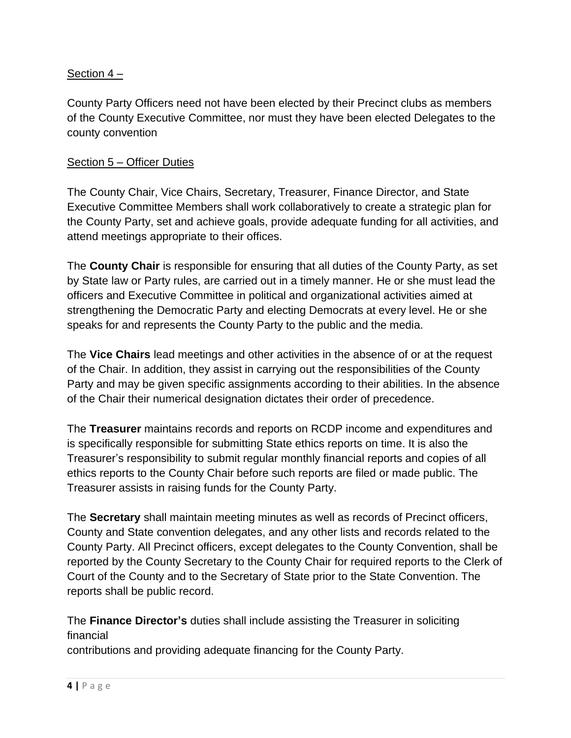### Section 4 –

County Party Officers need not have been elected by their Precinct clubs as members of the County Executive Committee, nor must they have been elected Delegates to the county convention

#### Section 5 – Officer Duties

The County Chair, Vice Chairs, Secretary, Treasurer, Finance Director, and State Executive Committee Members shall work collaboratively to create a strategic plan for the County Party, set and achieve goals, provide adequate funding for all activities, and attend meetings appropriate to their offices.

The **County Chair** is responsible for ensuring that all duties of the County Party, as set by State law or Party rules, are carried out in a timely manner. He or she must lead the officers and Executive Committee in political and organizational activities aimed at strengthening the Democratic Party and electing Democrats at every level. He or she speaks for and represents the County Party to the public and the media.

The **Vice Chairs** lead meetings and other activities in the absence of or at the request of the Chair. In addition, they assist in carrying out the responsibilities of the County Party and may be given specific assignments according to their abilities. In the absence of the Chair their numerical designation dictates their order of precedence.

The **Treasurer** maintains records and reports on RCDP income and expenditures and is specifically responsible for submitting State ethics reports on time. It is also the Treasurer's responsibility to submit regular monthly financial reports and copies of all ethics reports to the County Chair before such reports are filed or made public. The Treasurer assists in raising funds for the County Party.

The **Secretary** shall maintain meeting minutes as well as records of Precinct officers, County and State convention delegates, and any other lists and records related to the County Party. All Precinct officers, except delegates to the County Convention, shall be reported by the County Secretary to the County Chair for required reports to the Clerk of Court of the County and to the Secretary of State prior to the State Convention. The reports shall be public record.

The **Finance Director's** duties shall include assisting the Treasurer in soliciting financial

contributions and providing adequate financing for the County Party.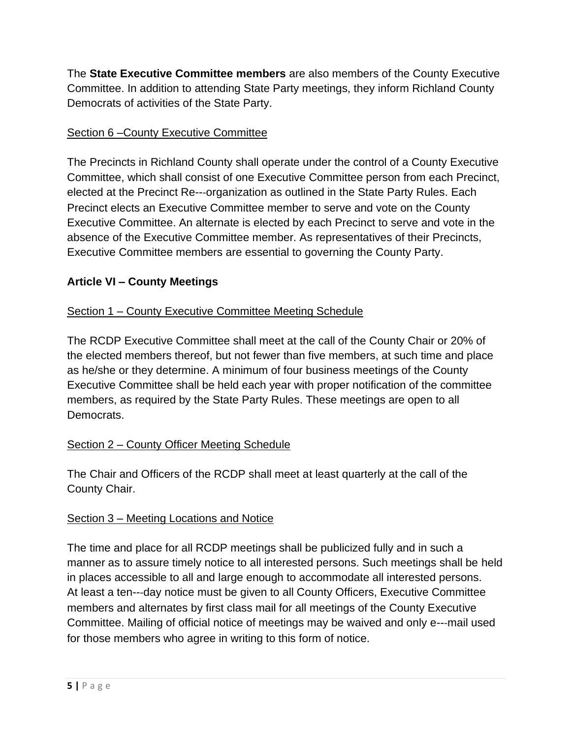The **State Executive Committee members** are also members of the County Executive Committee. In addition to attending State Party meetings, they inform Richland County Democrats of activities of the State Party.

### Section 6 –County Executive Committee

The Precincts in Richland County shall operate under the control of a County Executive Committee, which shall consist of one Executive Committee person from each Precinct, elected at the Precinct Re---organization as outlined in the State Party Rules. Each Precinct elects an Executive Committee member to serve and vote on the County Executive Committee. An alternate is elected by each Precinct to serve and vote in the absence of the Executive Committee member. As representatives of their Precincts, Executive Committee members are essential to governing the County Party.

# **Article VI – County Meetings**

# Section 1 – County Executive Committee Meeting Schedule

The RCDP Executive Committee shall meet at the call of the County Chair or 20% of the elected members thereof, but not fewer than five members, at such time and place as he/she or they determine. A minimum of four business meetings of the County Executive Committee shall be held each year with proper notification of the committee members, as required by the State Party Rules. These meetings are open to all Democrats.

### Section 2 – County Officer Meeting Schedule

The Chair and Officers of the RCDP shall meet at least quarterly at the call of the County Chair.

### Section 3 – Meeting Locations and Notice

The time and place for all RCDP meetings shall be publicized fully and in such a manner as to assure timely notice to all interested persons. Such meetings shall be held in places accessible to all and large enough to accommodate all interested persons. At least a ten---day notice must be given to all County Officers, Executive Committee members and alternates by first class mail for all meetings of the County Executive Committee. Mailing of official notice of meetings may be waived and only e---mail used for those members who agree in writing to this form of notice.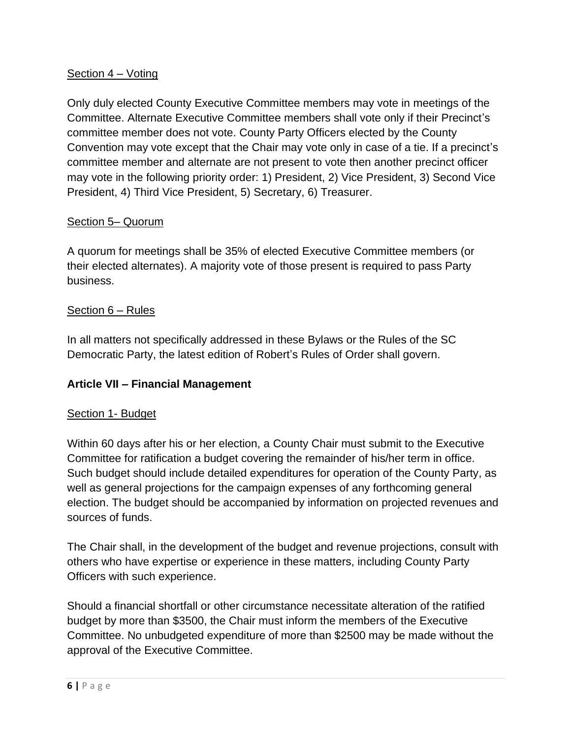### Section 4 – Voting

Only duly elected County Executive Committee members may vote in meetings of the Committee. Alternate Executive Committee members shall vote only if their Precinct's committee member does not vote. County Party Officers elected by the County Convention may vote except that the Chair may vote only in case of a tie. If a precinct's committee member and alternate are not present to vote then another precinct officer may vote in the following priority order: 1) President, 2) Vice President, 3) Second Vice President, 4) Third Vice President, 5) Secretary, 6) Treasurer.

### Section 5– Quorum

A quorum for meetings shall be 35% of elected Executive Committee members (or their elected alternates). A majority vote of those present is required to pass Party business.

### Section 6 – Rules

In all matters not specifically addressed in these Bylaws or the Rules of the SC Democratic Party, the latest edition of Robert's Rules of Order shall govern.

### **Article VII – Financial Management**

#### Section 1- Budget

Within 60 days after his or her election, a County Chair must submit to the Executive Committee for ratification a budget covering the remainder of his/her term in office. Such budget should include detailed expenditures for operation of the County Party, as well as general projections for the campaign expenses of any forthcoming general election. The budget should be accompanied by information on projected revenues and sources of funds.

The Chair shall, in the development of the budget and revenue projections, consult with others who have expertise or experience in these matters, including County Party Officers with such experience.

Should a financial shortfall or other circumstance necessitate alteration of the ratified budget by more than \$3500, the Chair must inform the members of the Executive Committee. No unbudgeted expenditure of more than \$2500 may be made without the approval of the Executive Committee.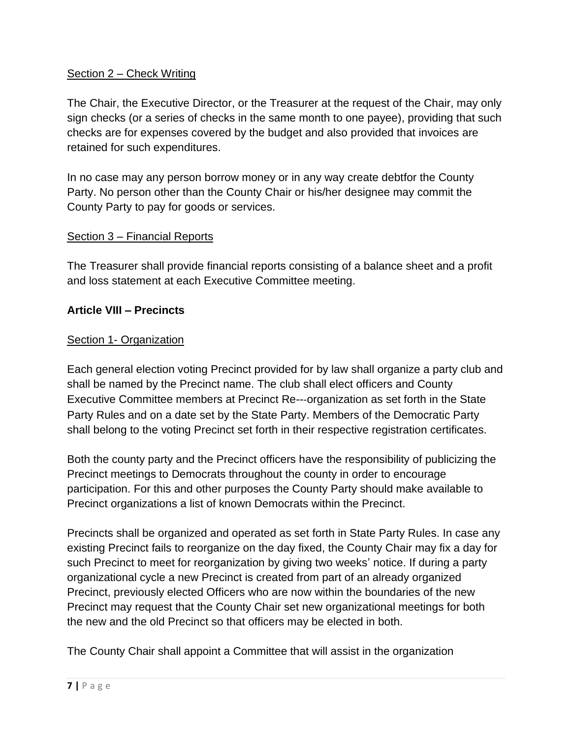### Section 2 – Check Writing

The Chair, the Executive Director, or the Treasurer at the request of the Chair, may only sign checks (or a series of checks in the same month to one payee), providing that such checks are for expenses covered by the budget and also provided that invoices are retained for such expenditures.

In no case may any person borrow money or in any way create debtfor the County Party. No person other than the County Chair or his/her designee may commit the County Party to pay for goods or services.

#### Section 3 – Financial Reports

The Treasurer shall provide financial reports consisting of a balance sheet and a profit and loss statement at each Executive Committee meeting.

### **Article VIII – Precincts**

#### Section 1- Organization

Each general election voting Precinct provided for by law shall organize a party club and shall be named by the Precinct name. The club shall elect officers and County Executive Committee members at Precinct Re---organization as set forth in the State Party Rules and on a date set by the State Party. Members of the Democratic Party shall belong to the voting Precinct set forth in their respective registration certificates.

Both the county party and the Precinct officers have the responsibility of publicizing the Precinct meetings to Democrats throughout the county in order to encourage participation. For this and other purposes the County Party should make available to Precinct organizations a list of known Democrats within the Precinct.

Precincts shall be organized and operated as set forth in State Party Rules. In case any existing Precinct fails to reorganize on the day fixed, the County Chair may fix a day for such Precinct to meet for reorganization by giving two weeks' notice. If during a party organizational cycle a new Precinct is created from part of an already organized Precinct, previously elected Officers who are now within the boundaries of the new Precinct may request that the County Chair set new organizational meetings for both the new and the old Precinct so that officers may be elected in both.

The County Chair shall appoint a Committee that will assist in the organization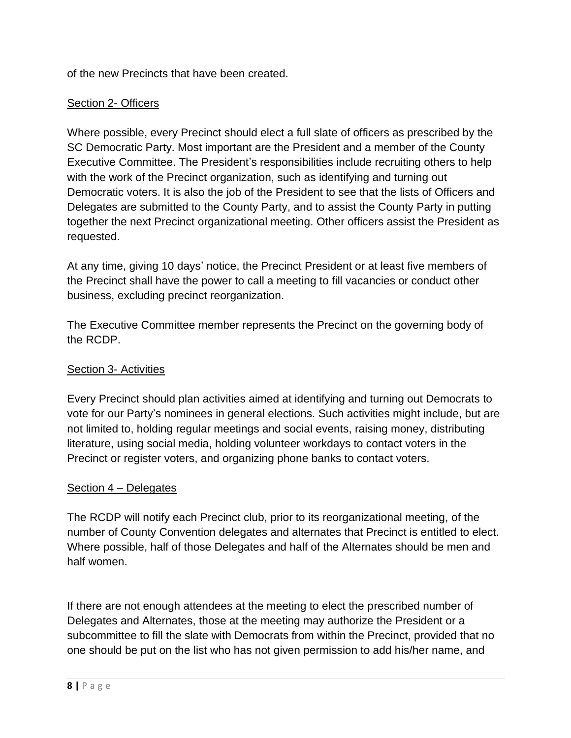of the new Precincts that have been created.

### Section 2- Officers

Where possible, every Precinct should elect a full slate of officers as prescribed by the SC Democratic Party. Most important are the President and a member of the County Executive Committee. The President's responsibilities include recruiting others to help with the work of the Precinct organization, such as identifying and turning out Democratic voters. It is also the job of the President to see that the lists of Officers and Delegates are submitted to the County Party, and to assist the County Party in putting together the next Precinct organizational meeting. Other officers assist the President as requested.

At any time, giving 10 days' notice, the Precinct President or at least five members of the Precinct shall have the power to call a meeting to fill vacancies or conduct other business, excluding precinct reorganization.

The Executive Committee member represents the Precinct on the governing body of the RCDP.

### Section 3- Activities

Every Precinct should plan activities aimed at identifying and turning out Democrats to vote for our Party's nominees in general elections. Such activities might include, but are not limited to, holding regular meetings and social events, raising money, distributing literature, using social media, holding volunteer workdays to contact voters in the Precinct or register voters, and organizing phone banks to contact voters.

### Section 4 – Delegates

The RCDP will notify each Precinct club, prior to its reorganizational meeting, of the number of County Convention delegates and alternates that Precinct is entitled to elect. Where possible, half of those Delegates and half of the Alternates should be men and half women.

If there are not enough attendees at the meeting to elect the prescribed number of Delegates and Alternates, those at the meeting may authorize the President or a subcommittee to fill the slate with Democrats from within the Precinct, provided that no one should be put on the list who has not given permission to add his/her name, and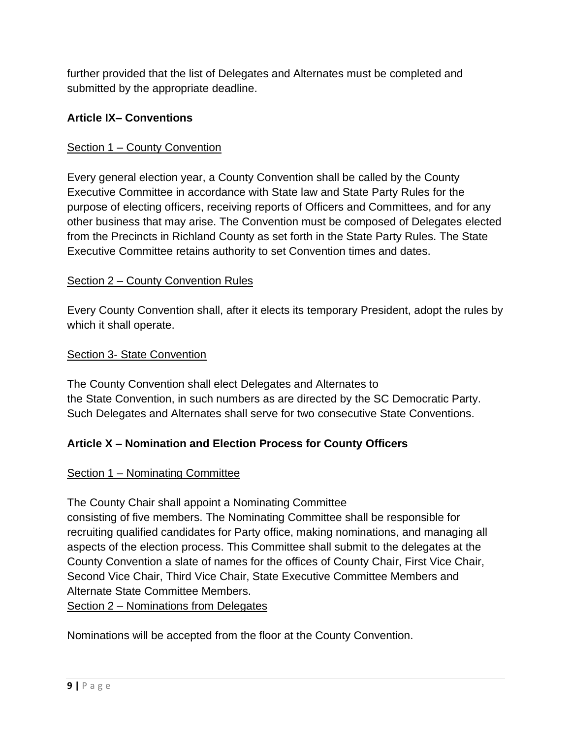further provided that the list of Delegates and Alternates must be completed and submitted by the appropriate deadline.

# **Article IX– Conventions**

# Section 1 – County Convention

Every general election year, a County Convention shall be called by the County Executive Committee in accordance with State law and State Party Rules for the purpose of electing officers, receiving reports of Officers and Committees, and for any other business that may arise. The Convention must be composed of Delegates elected from the Precincts in Richland County as set forth in the State Party Rules. The State Executive Committee retains authority to set Convention times and dates.

# Section 2 – County Convention Rules

Every County Convention shall, after it elects its temporary President, adopt the rules by which it shall operate.

### Section 3- State Convention

The County Convention shall elect Delegates and Alternates to the State Convention, in such numbers as are directed by the SC Democratic Party. Such Delegates and Alternates shall serve for two consecutive State Conventions.

# **Article X – Nomination and Election Process for County Officers**

### Section 1 – Nominating Committee

The County Chair shall appoint a Nominating Committee consisting of five members. The Nominating Committee shall be responsible for recruiting qualified candidates for Party office, making nominations, and managing all aspects of the election process. This Committee shall submit to the delegates at the County Convention a slate of names for the offices of County Chair, First Vice Chair, Second Vice Chair, Third Vice Chair, State Executive Committee Members and Alternate State Committee Members.

Section 2 – Nominations from Delegates

Nominations will be accepted from the floor at the County Convention.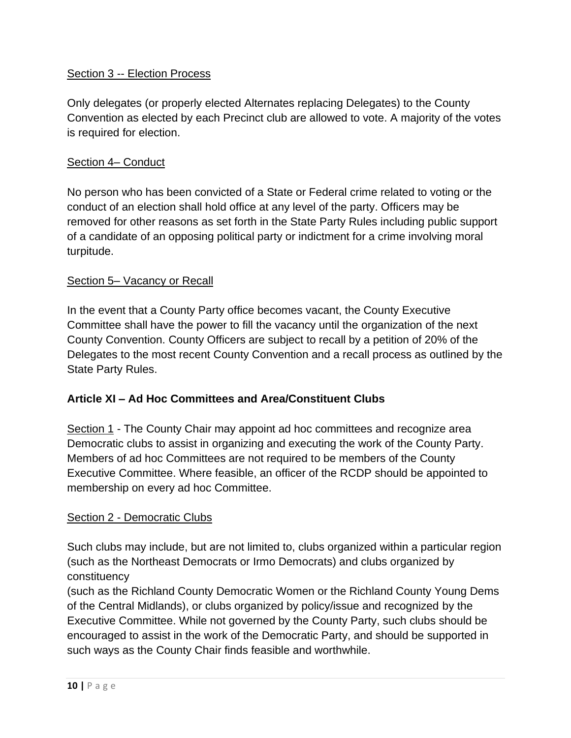### Section 3 -- Election Process

Only delegates (or properly elected Alternates replacing Delegates) to the County Convention as elected by each Precinct club are allowed to vote. A majority of the votes is required for election.

### Section 4– Conduct

No person who has been convicted of a State or Federal crime related to voting or the conduct of an election shall hold office at any level of the party. Officers may be removed for other reasons as set forth in the State Party Rules including public support of a candidate of an opposing political party or indictment for a crime involving moral turpitude.

### Section 5– Vacancy or Recall

In the event that a County Party office becomes vacant, the County Executive Committee shall have the power to fill the vacancy until the organization of the next County Convention. County Officers are subject to recall by a petition of 20% of the Delegates to the most recent County Convention and a recall process as outlined by the State Party Rules.

### **Article XI – Ad Hoc Committees and Area/Constituent Clubs**

Section 1 - The County Chair may appoint ad hoc committees and recognize area Democratic clubs to assist in organizing and executing the work of the County Party. Members of ad hoc Committees are not required to be members of the County Executive Committee. Where feasible, an officer of the RCDP should be appointed to membership on every ad hoc Committee.

#### Section 2 - Democratic Clubs

Such clubs may include, but are not limited to, clubs organized within a particular region (such as the Northeast Democrats or Irmo Democrats) and clubs organized by constituency

(such as the Richland County Democratic Women or the Richland County Young Dems of the Central Midlands), or clubs organized by policy/issue and recognized by the Executive Committee. While not governed by the County Party, such clubs should be encouraged to assist in the work of the Democratic Party, and should be supported in such ways as the County Chair finds feasible and worthwhile.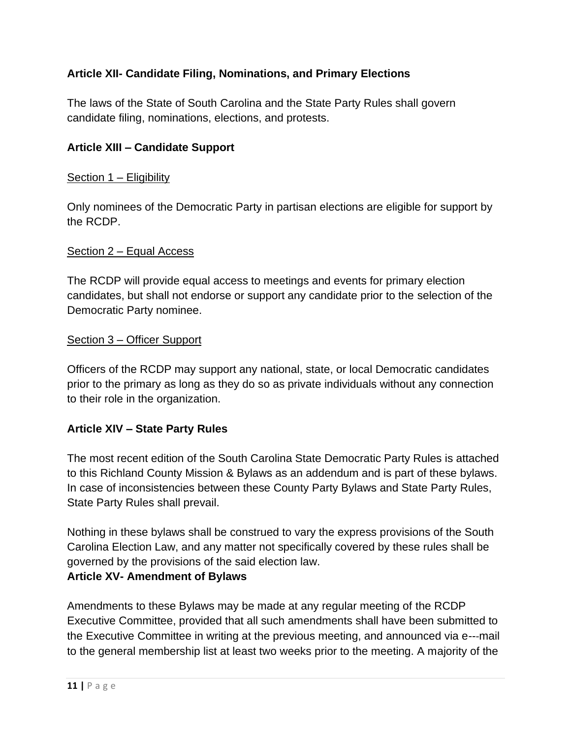# **Article XII- Candidate Filing, Nominations, and Primary Elections**

The laws of the State of South Carolina and the State Party Rules shall govern candidate filing, nominations, elections, and protests.

### **Article XIII – Candidate Support**

#### Section 1 – Eligibility

Only nominees of the Democratic Party in partisan elections are eligible for support by the RCDP.

#### Section 2 – Equal Access

The RCDP will provide equal access to meetings and events for primary election candidates, but shall not endorse or support any candidate prior to the selection of the Democratic Party nominee.

#### Section 3 – Officer Support

Officers of the RCDP may support any national, state, or local Democratic candidates prior to the primary as long as they do so as private individuals without any connection to their role in the organization.

#### **Article XIV – State Party Rules**

The most recent edition of the South Carolina State Democratic Party Rules is attached to this Richland County Mission & Bylaws as an addendum and is part of these bylaws. In case of inconsistencies between these County Party Bylaws and State Party Rules, State Party Rules shall prevail.

Nothing in these bylaws shall be construed to vary the express provisions of the South Carolina Election Law, and any matter not specifically covered by these rules shall be governed by the provisions of the said election law.

#### **Article XV- Amendment of Bylaws**

Amendments to these Bylaws may be made at any regular meeting of the RCDP Executive Committee, provided that all such amendments shall have been submitted to the Executive Committee in writing at the previous meeting, and announced via e---mail to the general membership list at least two weeks prior to the meeting. A majority of the